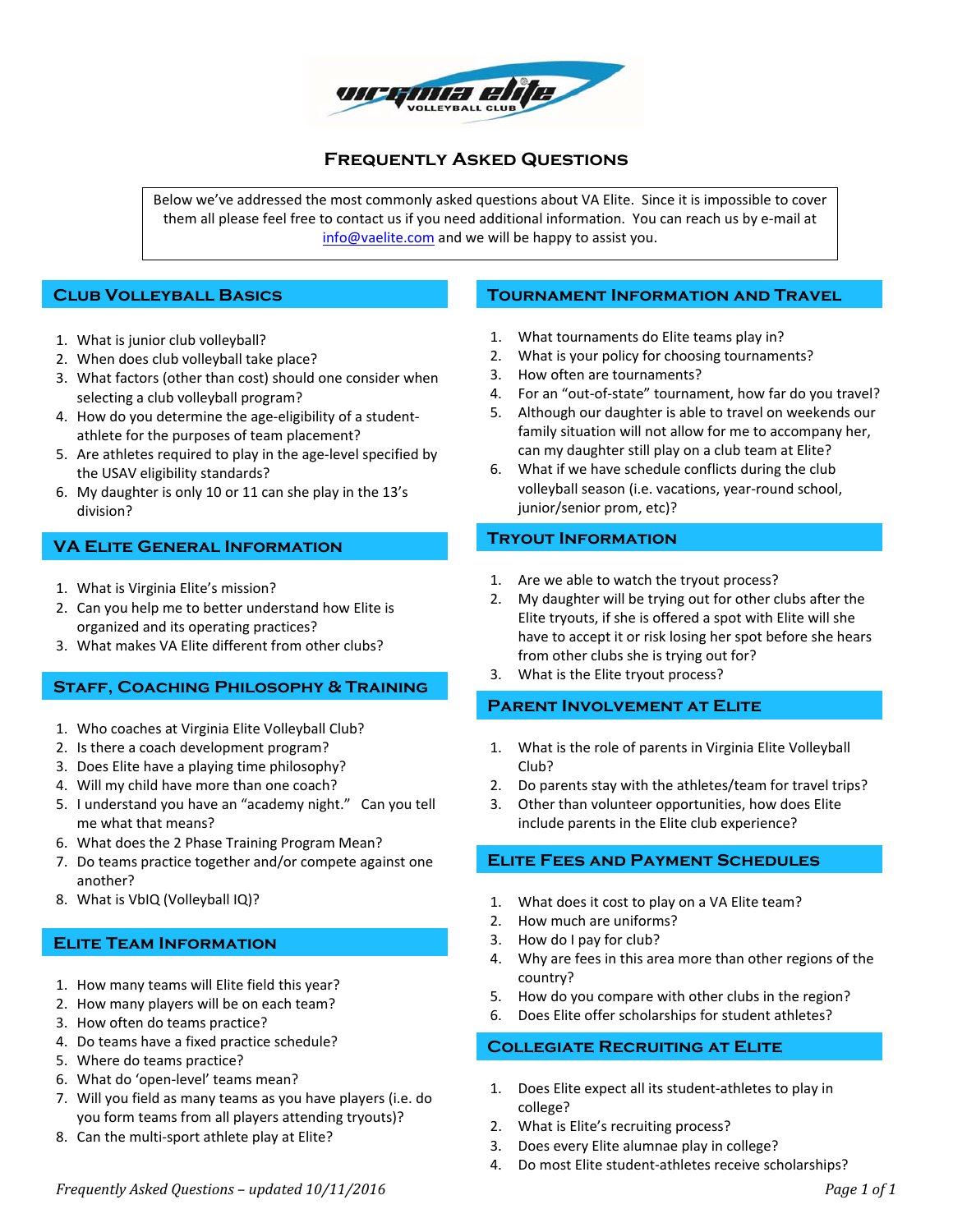

# **Frequently Asked Questions**

Below we've addressed the most commonly asked questions about VA Elite. Since it is impossible to cover them all please feel free to contact us if you need additional information. You can reach us by e‐mail at info@vaelite.com and we will be happy to assist you.

# **Club Volleyball Basics**

- 1. What is junior club volleyball?
- 2. When does club volleyball take place?
- 3. What factors (other than cost) should one consider when selecting a club volleyball program?
- 4. How do you determine the age-eligibility of a studentathlete for the purposes of team placement?
- 5. Are athletes required to play in the age-level specified by the USAV eligibility standards?
- 6. My daughter is only 10 or 11 can she play in the 13's division?

# **VA Elite General Information**

- 1. What is Virginia Elite's mission?
- 2. Can you help me to better understand how Elite is organized and its operating practices?
- 3. What makes VA Elite different from other clubs?

# **Staff, Coaching Philosophy & Training**

- 1. Who coaches at Virginia Elite Volleyball Club?
- 2. Is there a coach development program?
- 3. Does Elite have a playing time philosophy?
- 4. Will my child have more than one coach?
- 5. I understand you have an "academy night." Can you tell me what that means?
- 6. What does the 2 Phase Training Program Mean?
- 7. Do teams practice together and/or compete against one another?
- 8. What is VbIQ (Volleyball IQ)?

# **Elite Team Information**

- 1. How many teams will Elite field this year?
- 2. How many players will be on each team?
- 3. How often do teams practice?
- 4. Do teams have a fixed practice schedule?
- 5. Where do teams practice?
- 6. What do 'open‐level' teams mean?
- 7. Will you field as many teams as you have players (i.e. do you form teams from all players attending tryouts)?
- 8. Can the multi-sport athlete play at Elite?

# **Tournament Information and Travel**

- 1. What tournaments do Elite teams play in?
- 2. What is your policy for choosing tournaments?
- 3. How often are tournaments?
- 4. For an "out-of-state" tournament, how far do you travel?
- 5. Although our daughter is able to travel on weekends our family situation will not allow for me to accompany her, can my daughter still play on a club team at Elite?
- 6. What if we have schedule conflicts during the club volleyball season (i.e. vacations, year‐round school, junior/senior prom, etc)?

# **Tryout Information**

- 1. Are we able to watch the tryout process?
- 2. My daughter will be trying out for other clubs after the Elite tryouts, if she is offered a spot with Elite will she have to accept it or risk losing her spot before she hears from other clubs she is trying out for?
- 3. What is the Elite tryout process?

# **Parent Involvement at Elite**

- 1. What is the role of parents in Virginia Elite Volleyball Club?
- 2. Do parents stay with the athletes/team for travel trips?
- 3. Other than volunteer opportunities, how does Elite include parents in the Elite club experience?

# **Elite Fees and Payment Schedules**

- 1. What does it cost to play on a VA Elite team?
- 2. How much are uniforms?
- 3. How do I pay for club?
- 4. Why are fees in this area more than other regions of the country?
- 5. How do you compare with other clubs in the region?
- 6. Does Elite offer scholarships for student athletes?

# **Collegiate Recruiting at Elite**

- 1. Does Elite expect all its student‐athletes to play in college?
- 2. What is Elite's recruiting process?
- 3. Does every Elite alumnae play in college?
- 4. Do most Elite student‐athletes receive scholarships?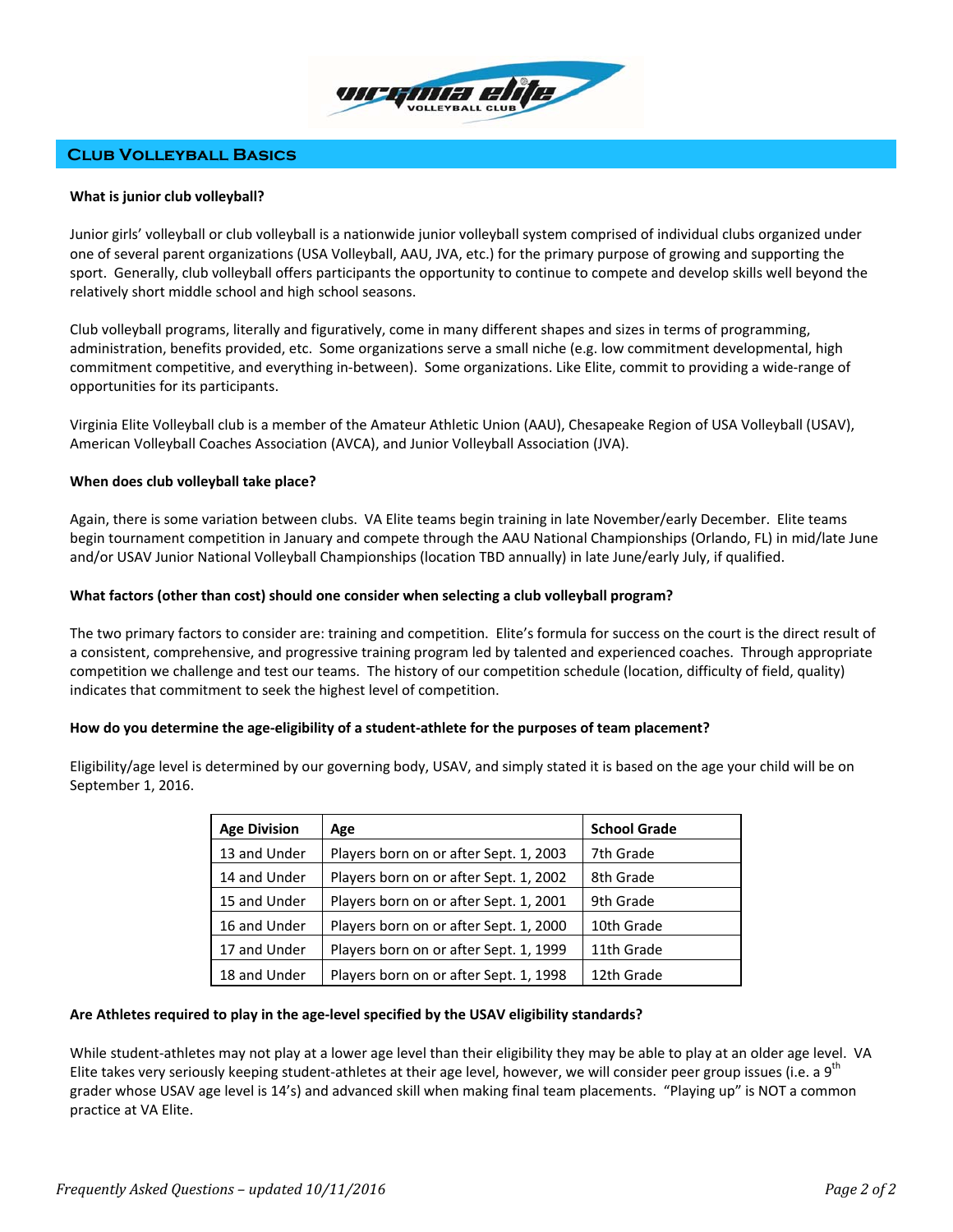

# **Club Volleyball Basics**

# **What is junior club volleyball?**

Junior girls' volleyball or club volleyball is a nationwide junior volleyball system comprised of individual clubs organized under one of several parent organizations (USA Volleyball, AAU, JVA, etc.) for the primary purpose of growing and supporting the sport. Generally, club volleyball offers participants the opportunity to continue to compete and develop skills well beyond the relatively short middle school and high school seasons.

Club volleyball programs, literally and figuratively, come in many different shapes and sizes in terms of programming, administration, benefits provided, etc. Some organizations serve a small niche (e.g. low commitment developmental, high commitment competitive, and everything in‐between). Some organizations. Like Elite, commit to providing a wide‐range of opportunities for its participants.

Virginia Elite Volleyball club is a member of the Amateur Athletic Union (AAU), Chesapeake Region of USA Volleyball (USAV), American Volleyball Coaches Association (AVCA), and Junior Volleyball Association (JVA).

# **When does club volleyball take place?**

Again, there is some variation between clubs. VA Elite teams begin training in late November/early December. Elite teams begin tournament competition in January and compete through the AAU National Championships (Orlando, FL) in mid/late June and/or USAV Junior National Volleyball Championships (location TBD annually) in late June/early July, if qualified.

# **What factors (other than cost) should one consider when selecting a club volleyball program?**

The two primary factors to consider are: training and competition. Elite's formula for success on the court is the direct result of a consistent, comprehensive, and progressive training program led by talented and experienced coaches. Through appropriate competition we challenge and test our teams. The history of our competition schedule (location, difficulty of field, quality) indicates that commitment to seek the highest level of competition.

## How do you determine the age-eligibility of a student-athlete for the purposes of team placement?

Eligibility/age level is determined by our governing body, USAV, and simply stated it is based on the age your child will be on September 1, 2016.

| <b>Age Division</b> | Age                                    | <b>School Grade</b> |
|---------------------|----------------------------------------|---------------------|
| 13 and Under        | Players born on or after Sept. 1, 2003 | 7th Grade           |
| 14 and Under        | Players born on or after Sept. 1, 2002 | 8th Grade           |
| 15 and Under        | Players born on or after Sept. 1, 2001 | 9th Grade           |
| 16 and Under        | Players born on or after Sept. 1, 2000 | 10th Grade          |
| 17 and Under        | Players born on or after Sept. 1, 1999 | 11th Grade          |
| 18 and Under        | Players born on or after Sept. 1, 1998 | 12th Grade          |

# **Are Athletes required to play in the age‐level specified by the USAV eligibility standards?**

While student‐athletes may not play at a lower age level than their eligibility they may be able to play at an older age level. VA Elite takes very seriously keeping student-athletes at their age level, however, we will consider peer group issues (i.e. a 9<sup>th</sup>) grader whose USAV age level is 14's) and advanced skill when making final team placements. "Playing up" is NOT a common practice at VA Elite.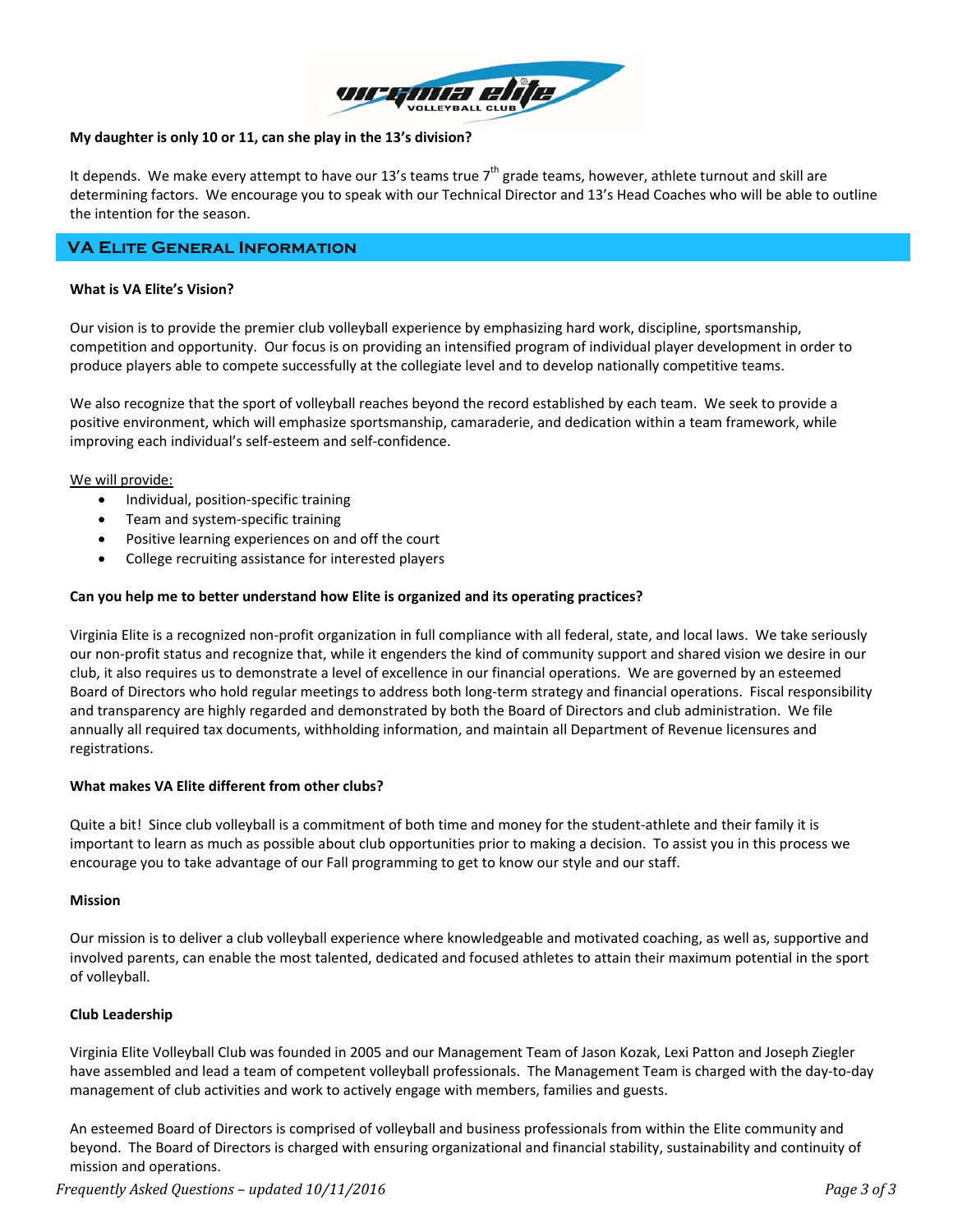

# **My daughter is only 10 or 11, can she play in the 13's division?**

It depends. We make every attempt to have our 13's teams true  $7<sup>th</sup>$  grade teams, however, athlete turnout and skill are determining factors. We encourage you to speak with our Technical Director and 13's Head Coaches who will be able to outline the intention for the season.

# **VA Elite General Information**

# **What is VA Elite's Vision?**

Our vision is to provide the premier club volleyball experience by emphasizing hard work, discipline, sportsmanship, competition and opportunity. Our focus is on providing an intensified program of individual player development in order to produce players able to compete successfully at the collegiate level and to develop nationally competitive teams.

We also recognize that the sport of volleyball reaches beyond the record established by each team. We seek to provide a positive environment, which will emphasize sportsmanship, camaraderie, and dedication within a team framework, while improving each individual's self‐esteem and self‐confidence.

## We will provide:

- Individual, position-specific training
- Team and system-specific training
- Positive learning experiences on and off the court
- College recruiting assistance for interested players

## **Can you help me to better understand how Elite is organized and its operating practices?**

Virginia Elite is a recognized non‐profit organization in full compliance with all federal, state, and local laws. We take seriously our non‐profit status and recognize that, while it engenders the kind of community support and shared vision we desire in our club, it also requires us to demonstrate a level of excellence in our financial operations. We are governed by an esteemed Board of Directors who hold regular meetings to address both long‐term strategy and financial operations. Fiscal responsibility and transparency are highly regarded and demonstrated by both the Board of Directors and club administration. We file annually all required tax documents, withholding information, and maintain all Department of Revenue licensures and registrations.

## **What makes VA Elite different from other clubs?**

Quite a bit! Since club volleyball is a commitment of both time and money for the student‐athlete and their family it is important to learn as much as possible about club opportunities prior to making a decision. To assist you in this process we encourage you to take advantage of our Fall programming to get to know our style and our staff.

## **Mission**

Our mission is to deliver a club volleyball experience where knowledgeable and motivated coaching, as well as, supportive and involved parents, can enable the most talented, dedicated and focused athletes to attain their maximum potential in the sport of volleyball.

## **Club Leadership**

Virginia Elite Volleyball Club was founded in 2005 and our Management Team of Jason Kozak, Lexi Patton and Joseph Ziegler have assembled and lead a team of competent volleyball professionals. The Management Team is charged with the day‐to‐day management of club activities and work to actively engage with members, families and guests.

An esteemed Board of Directors is comprised of volleyball and business professionals from within the Elite community and beyond. The Board of Directors is charged with ensuring organizational and financial stability, sustainability and continuity of mission and operations.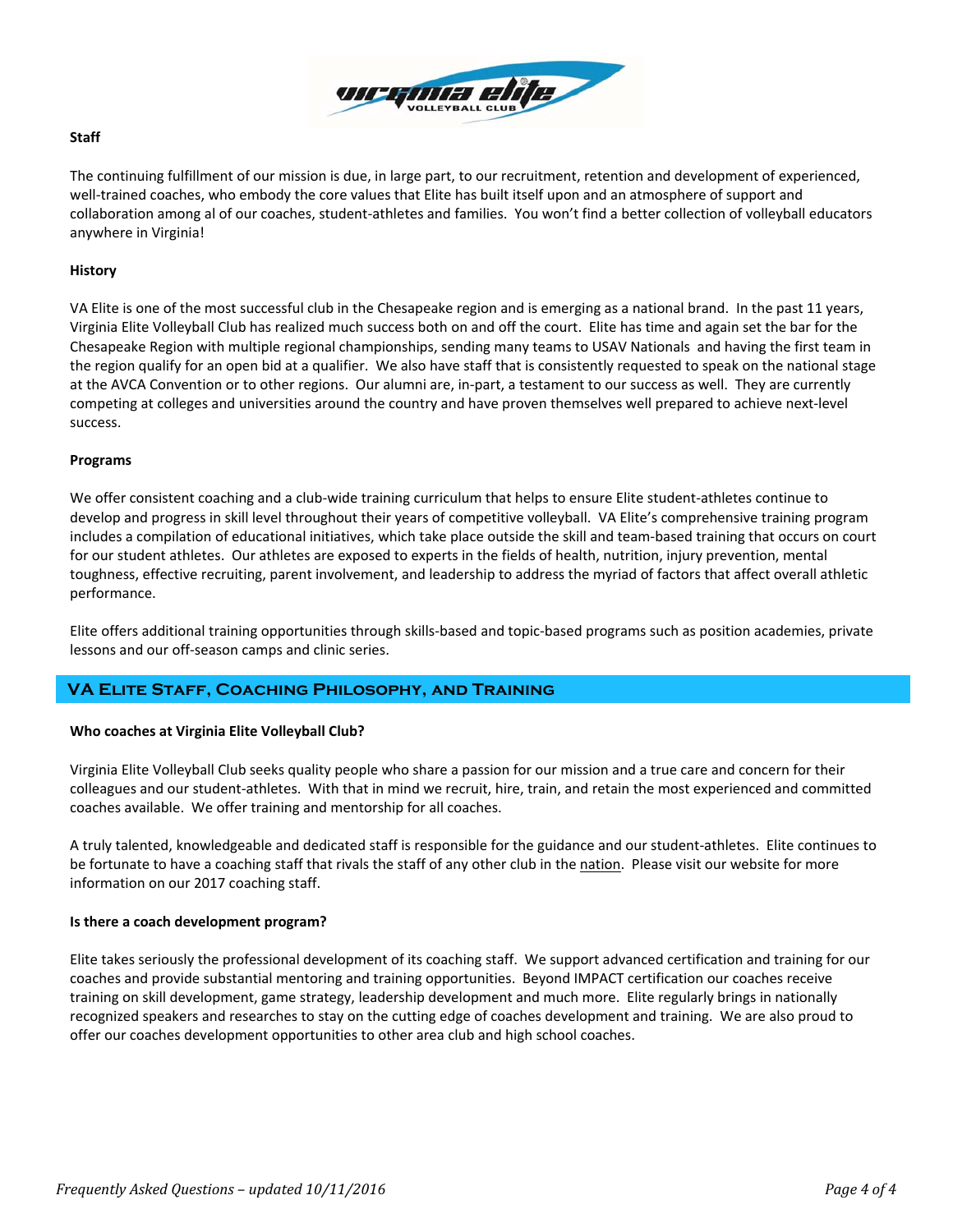

# **Staff**

The continuing fulfillment of our mission is due, in large part, to our recruitment, retention and development of experienced, well-trained coaches, who embody the core values that Elite has built itself upon and an atmosphere of support and collaboration among al of our coaches, student‐athletes and families. You won't find a better collection of volleyball educators anywhere in Virginia!

# **History**

VA Elite is one of the most successful club in the Chesapeake region and is emerging as a national brand. In the past 11 years, Virginia Elite Volleyball Club has realized much success both on and off the court. Elite has time and again set the bar for the Chesapeake Region with multiple regional championships, sending many teams to USAV Nationals and having the first team in the region qualify for an open bid at a qualifier. We also have staff that is consistently requested to speak on the national stage at the AVCA Convention or to other regions. Our alumni are, in‐part, a testament to our success as well. They are currently competing at colleges and universities around the country and have proven themselves well prepared to achieve next‐level success.

## **Programs**

We offer consistent coaching and a club‐wide training curriculum that helps to ensure Elite student‐athletes continue to develop and progress in skill level throughout their years of competitive volleyball. VA Elite's comprehensive training program includes a compilation of educational initiatives, which take place outside the skill and team‐based training that occurs on court for our student athletes. Our athletes are exposed to experts in the fields of health, nutrition, injury prevention, mental toughness, effective recruiting, parent involvement, and leadership to address the myriad of factors that affect overall athletic performance.

Elite offers additional training opportunities through skills‐based and topic‐based programs such as position academies, private lessons and our off‐season camps and clinic series.

# **VA Elite Staff, Coaching Philosophy, and Training**

## **Who coaches at Virginia Elite Volleyball Club?**

Virginia Elite Volleyball Club seeks quality people who share a passion for our mission and a true care and concern for their colleagues and our student‐athletes. With that in mind we recruit, hire, train, and retain the most experienced and committed coaches available. We offer training and mentorship for all coaches.

A truly talented, knowledgeable and dedicated staff is responsible for the guidance and our student‐athletes. Elite continues to be fortunate to have a coaching staff that rivals the staff of any other club in the nation. Please visit our website for more information on our 2017 coaching staff.

## **Is there a coach development program?**

Elite takes seriously the professional development of its coaching staff. We support advanced certification and training for our coaches and provide substantial mentoring and training opportunities. Beyond IMPACT certification our coaches receive training on skill development, game strategy, leadership development and much more. Elite regularly brings in nationally recognized speakers and researches to stay on the cutting edge of coaches development and training. We are also proud to offer our coaches development opportunities to other area club and high school coaches.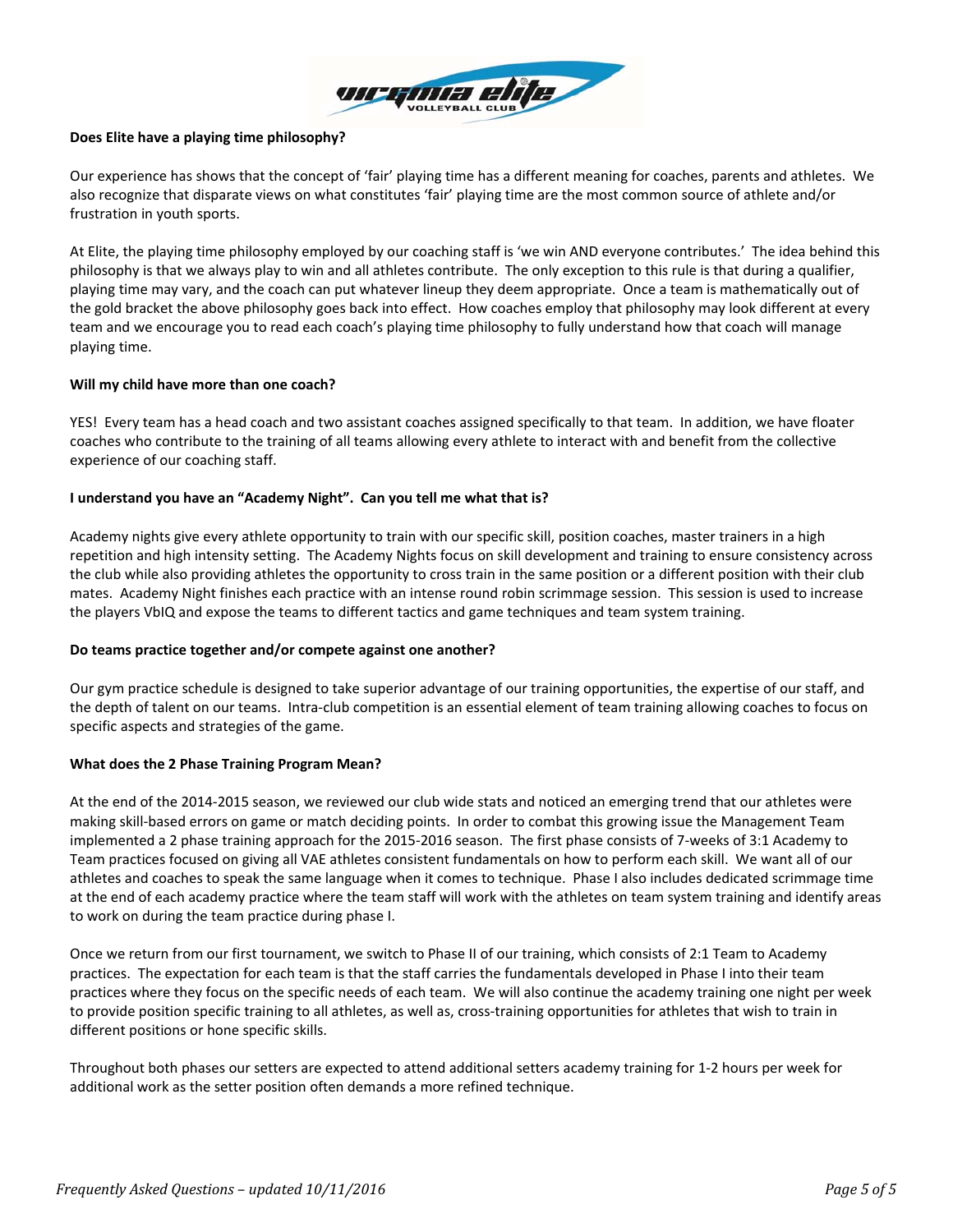

# **Does Elite have a playing time philosophy?**

Our experience has shows that the concept of 'fair' playing time has a different meaning for coaches, parents and athletes. We also recognize that disparate views on what constitutes 'fair' playing time are the most common source of athlete and/or frustration in youth sports.

At Elite, the playing time philosophy employed by our coaching staff is 'we win AND everyone contributes.' The idea behind this philosophy is that we always play to win and all athletes contribute. The only exception to this rule is that during a qualifier, playing time may vary, and the coach can put whatever lineup they deem appropriate. Once a team is mathematically out of the gold bracket the above philosophy goes back into effect. How coaches employ that philosophy may look different at every team and we encourage you to read each coach's playing time philosophy to fully understand how that coach will manage playing time.

# **Will my child have more than one coach?**

YES! Every team has a head coach and two assistant coaches assigned specifically to that team. In addition, we have floater coaches who contribute to the training of all teams allowing every athlete to interact with and benefit from the collective experience of our coaching staff.

# **I understand you have an "Academy Night". Can you tell me what that is?**

Academy nights give every athlete opportunity to train with our specific skill, position coaches, master trainers in a high repetition and high intensity setting. The Academy Nights focus on skill development and training to ensure consistency across the club while also providing athletes the opportunity to cross train in the same position or a different position with their club mates. Academy Night finishes each practice with an intense round robin scrimmage session. This session is used to increase the players VbIQ and expose the teams to different tactics and game techniques and team system training.

## **Do teams practice together and/or compete against one another?**

Our gym practice schedule is designed to take superior advantage of our training opportunities, the expertise of our staff, and the depth of talent on our teams. Intra‐club competition is an essential element of team training allowing coaches to focus on specific aspects and strategies of the game.

## **What does the 2 Phase Training Program Mean?**

At the end of the 2014‐2015 season, we reviewed our club wide stats and noticed an emerging trend that our athletes were making skill‐based errors on game or match deciding points. In order to combat this growing issue the Management Team implemented a 2 phase training approach for the 2015‐2016 season. The first phase consists of 7‐weeks of 3:1 Academy to Team practices focused on giving all VAE athletes consistent fundamentals on how to perform each skill. We want all of our athletes and coaches to speak the same language when it comes to technique. Phase I also includes dedicated scrimmage time at the end of each academy practice where the team staff will work with the athletes on team system training and identify areas to work on during the team practice during phase I.

Once we return from our first tournament, we switch to Phase II of our training, which consists of 2:1 Team to Academy practices. The expectation for each team is that the staff carries the fundamentals developed in Phase I into their team practices where they focus on the specific needs of each team. We will also continue the academy training one night per week to provide position specific training to all athletes, as well as, cross-training opportunities for athletes that wish to train in different positions or hone specific skills.

Throughout both phases our setters are expected to attend additional setters academy training for 1‐2 hours per week for additional work as the setter position often demands a more refined technique.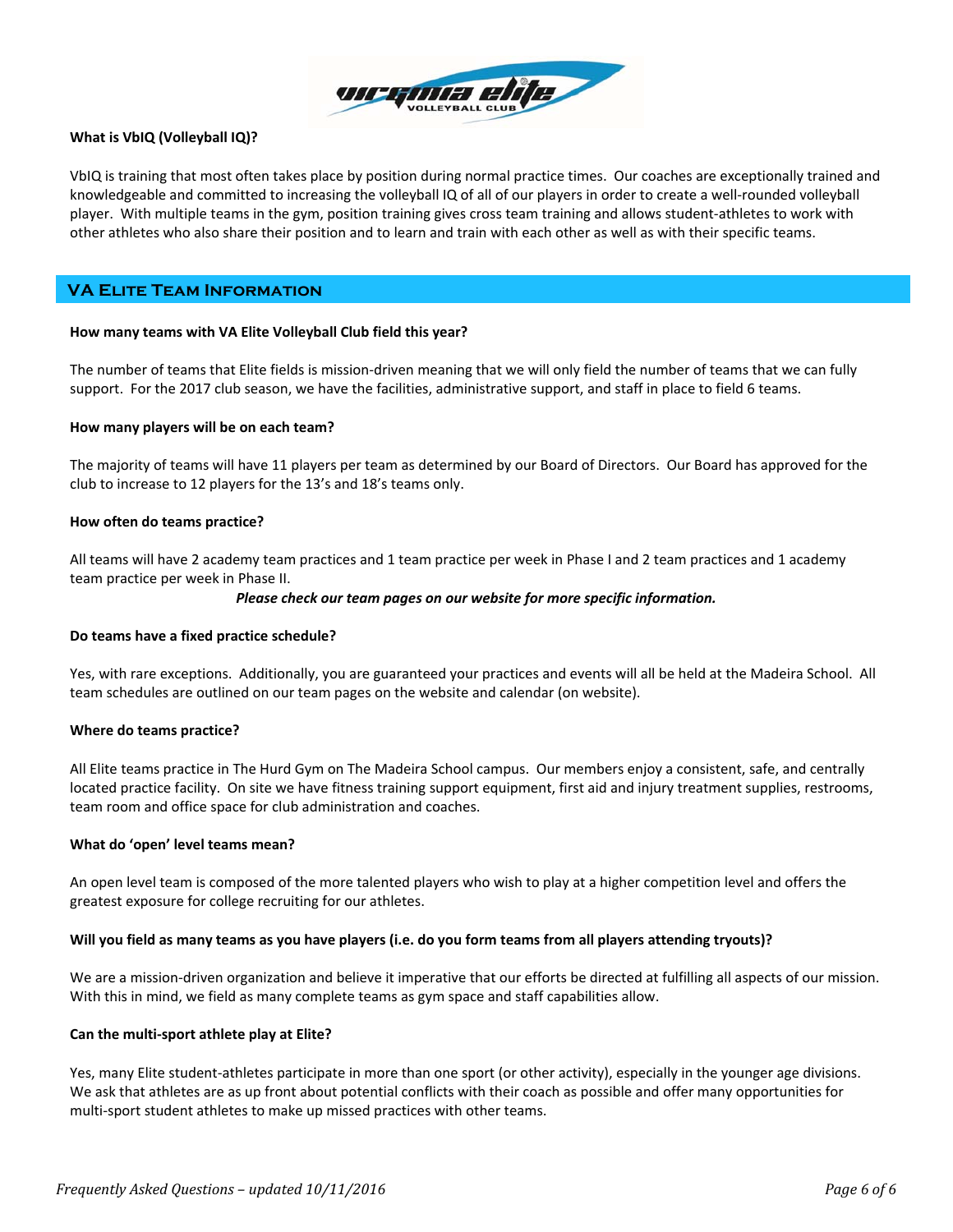

# **What is VbIQ (Volleyball IQ)?**

VbIQ is training that most often takes place by position during normal practice times. Our coaches are exceptionally trained and knowledgeable and committed to increasing the volleyball IQ of all of our players in order to create a well‐rounded volleyball player. With multiple teams in the gym, position training gives cross team training and allows student‐athletes to work with other athletes who also share their position and to learn and train with each other as well as with their specific teams.

# **VA Elite Team Information**

## **How many teams with VA Elite Volleyball Club field this year?**

The number of teams that Elite fields is mission‐driven meaning that we will only field the number of teams that we can fully support. For the 2017 club season, we have the facilities, administrative support, and staff in place to field 6 teams.

#### **How many players will be on each team?**

The majority of teams will have 11 players per team as determined by our Board of Directors. Our Board has approved for the club to increase to 12 players for the 13's and 18's teams only.

#### **How often do teams practice?**

All teams will have 2 academy team practices and 1 team practice per week in Phase I and 2 team practices and 1 academy team practice per week in Phase II.

#### *Please check our team pages on our website for more specific information.*

## **Do teams have a fixed practice schedule?**

Yes, with rare exceptions. Additionally, you are guaranteed your practices and events will all be held at the Madeira School. All team schedules are outlined on our team pages on the website and calendar (on website).

## **Where do teams practice?**

All Elite teams practice in The Hurd Gym on The Madeira School campus. Our members enjoy a consistent, safe, and centrally located practice facility. On site we have fitness training support equipment, first aid and injury treatment supplies, restrooms, team room and office space for club administration and coaches.

## **What do 'open' level teams mean?**

An open level team is composed of the more talented players who wish to play at a higher competition level and offers the greatest exposure for college recruiting for our athletes.

## Will you field as many teams as you have players (i.e. do you form teams from all players attending tryouts)?

We are a mission‐driven organization and believe it imperative that our efforts be directed at fulfilling all aspects of our mission. With this in mind, we field as many complete teams as gym space and staff capabilities allow.

#### **Can the multi‐sport athlete play at Elite?**

Yes, many Elite student‐athletes participate in more than one sport (or other activity), especially in the younger age divisions. We ask that athletes are as up front about potential conflicts with their coach as possible and offer many opportunities for multi‐sport student athletes to make up missed practices with other teams.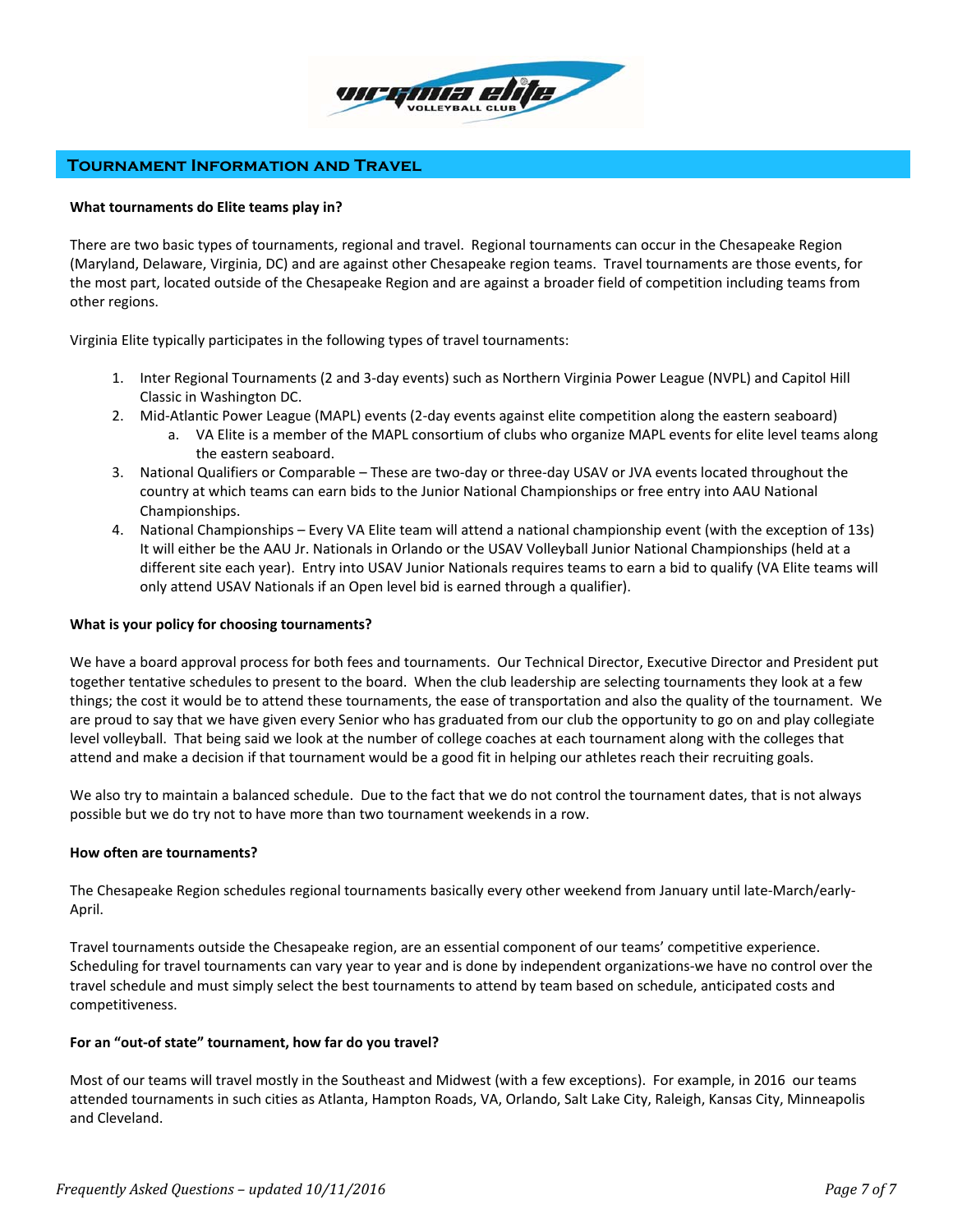

# **Tournament Information and Travel**

#### **What tournaments do Elite teams play in?**

There are two basic types of tournaments, regional and travel. Regional tournaments can occur in the Chesapeake Region (Maryland, Delaware, Virginia, DC) and are against other Chesapeake region teams. Travel tournaments are those events, for the most part, located outside of the Chesapeake Region and are against a broader field of competition including teams from other regions.

Virginia Elite typically participates in the following types of travel tournaments:

- 1. Inter Regional Tournaments (2 and 3‐day events) such as Northern Virginia Power League (NVPL) and Capitol Hill Classic in Washington DC.
- 2. Mid‐Atlantic Power League (MAPL) events (2‐day events against elite competition along the eastern seaboard)
	- a. VA Elite is a member of the MAPL consortium of clubs who organize MAPL events for elite level teams along the eastern seaboard.
- 3. National Qualifiers or Comparable These are two‐day or three‐day USAV or JVA events located throughout the country at which teams can earn bids to the Junior National Championships or free entry into AAU National Championships.
- 4. National Championships Every VA Elite team will attend a national championship event (with the exception of 13s) It will either be the AAU Jr. Nationals in Orlando or the USAV Volleyball Junior National Championships (held at a different site each year). Entry into USAV Junior Nationals requires teams to earn a bid to qualify (VA Elite teams will only attend USAV Nationals if an Open level bid is earned through a qualifier).

## **What is your policy for choosing tournaments?**

We have a board approval process for both fees and tournaments. Our Technical Director, Executive Director and President put together tentative schedules to present to the board. When the club leadership are selecting tournaments they look at a few things; the cost it would be to attend these tournaments, the ease of transportation and also the quality of the tournament. We are proud to say that we have given every Senior who has graduated from our club the opportunity to go on and play collegiate level volleyball. That being said we look at the number of college coaches at each tournament along with the colleges that attend and make a decision if that tournament would be a good fit in helping our athletes reach their recruiting goals.

We also try to maintain a balanced schedule. Due to the fact that we do not control the tournament dates, that is not always possible but we do try not to have more than two tournament weekends in a row.

## **How often are tournaments?**

The Chesapeake Region schedules regional tournaments basically every other weekend from January until late‐March/early‐ April.

Travel tournaments outside the Chesapeake region, are an essential component of our teams' competitive experience. Scheduling for travel tournaments can vary year to year and is done by independent organizations‐we have no control over the travel schedule and must simply select the best tournaments to attend by team based on schedule, anticipated costs and competitiveness.

## **For an "out‐of state" tournament, how far do you travel?**

Most of our teams will travel mostly in the Southeast and Midwest (with a few exceptions). For example, in 2016 our teams attended tournaments in such cities as Atlanta, Hampton Roads, VA, Orlando, Salt Lake City, Raleigh, Kansas City, Minneapolis and Cleveland.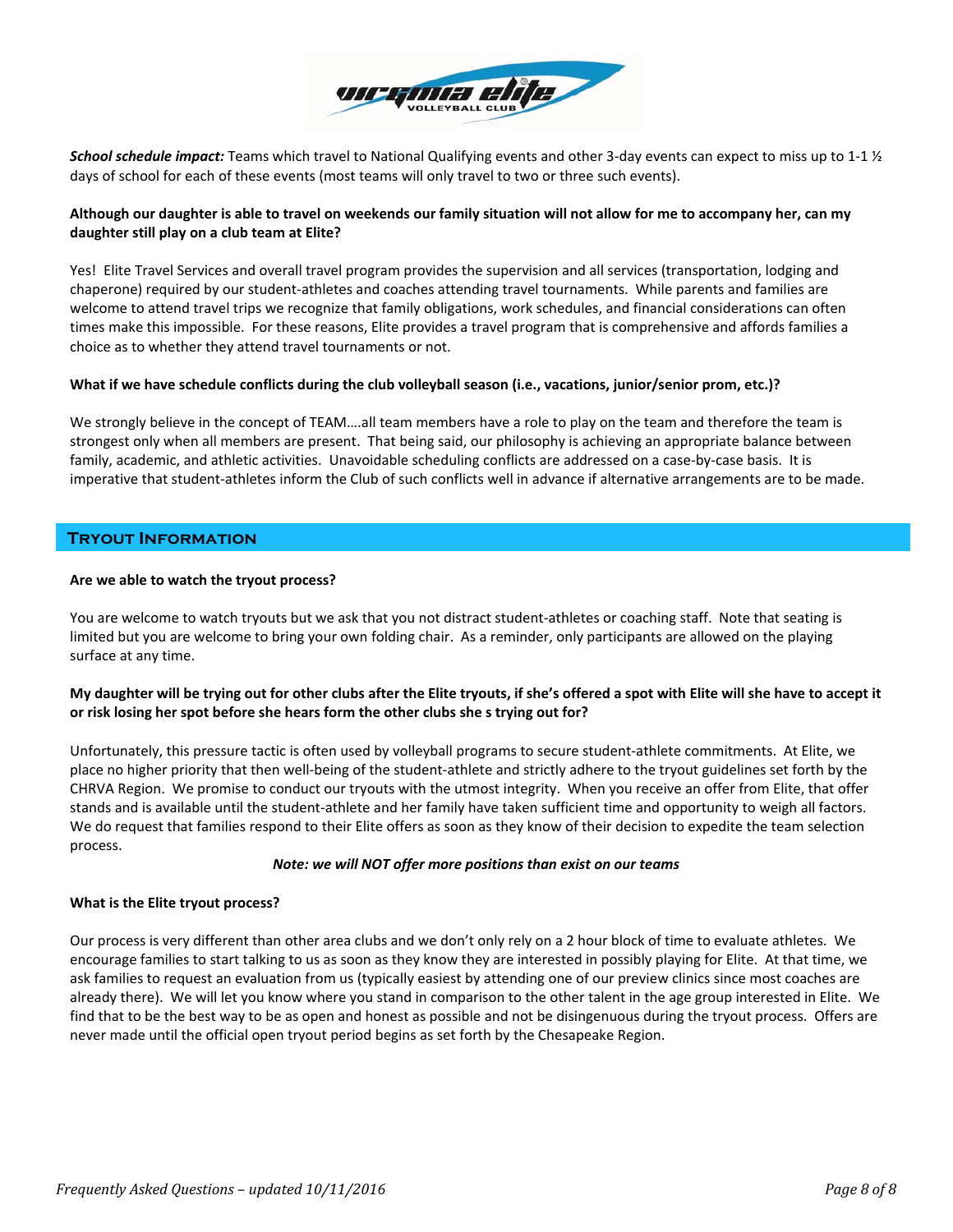

*School schedule impact:* Teams which travel to National Qualifying events and other 3‐day events can expect to miss up to 1‐1 ½ days of school for each of these events (most teams will only travel to two or three such events).

# Although our daughter is able to travel on weekends our family situation will not allow for me to accompany her, can my **daughter still play on a club team at Elite?**

Yes! Elite Travel Services and overall travel program provides the supervision and all services (transportation, lodging and chaperone) required by our student‐athletes and coaches attending travel tournaments. While parents and families are welcome to attend travel trips we recognize that family obligations, work schedules, and financial considerations can often times make this impossible. For these reasons, Elite provides a travel program that is comprehensive and affords families a choice as to whether they attend travel tournaments or not.

# What if we have schedule conflicts during the club volleyball season (i.e., vacations, junior/senior prom, etc.)?

We strongly believe in the concept of TEAM….all team members have a role to play on the team and therefore the team is strongest only when all members are present. That being said, our philosophy is achieving an appropriate balance between family, academic, and athletic activities. Unavoidable scheduling conflicts are addressed on a case‐by‐case basis. It is imperative that student-athletes inform the Club of such conflicts well in advance if alternative arrangements are to be made.

# **Tryout Information**

## **Are we able to watch the tryout process?**

You are welcome to watch tryouts but we ask that you not distract student-athletes or coaching staff. Note that seating is limited but you are welcome to bring your own folding chair. As a reminder, only participants are allowed on the playing surface at any time.

# My daughter will be trying out for other clubs after the Elite tryouts, if she's offered a spot with Elite will she have to accept it **or risk losing her spot before she hears form the other clubs she s trying out for?**

Unfortunately, this pressure tactic is often used by volleyball programs to secure student‐athlete commitments. At Elite, we place no higher priority that then well‐being of the student‐athlete and strictly adhere to the tryout guidelines set forth by the CHRVA Region. We promise to conduct our tryouts with the utmost integrity. When you receive an offer from Elite, that offer stands and is available until the student‐athlete and her family have taken sufficient time and opportunity to weigh all factors. We do request that families respond to their Elite offers as soon as they know of their decision to expedite the team selection process.

# *Note: we will NOT offer more positions than exist on our teams*

# **What is the Elite tryout process?**

Our process is very different than other area clubs and we don't only rely on a 2 hour block of time to evaluate athletes. We encourage families to start talking to us as soon as they know they are interested in possibly playing for Elite. At that time, we ask families to request an evaluation from us (typically easiest by attending one of our preview clinics since most coaches are already there). We will let you know where you stand in comparison to the other talent in the age group interested in Elite. We find that to be the best way to be as open and honest as possible and not be disingenuous during the tryout process. Offers are never made until the official open tryout period begins as set forth by the Chesapeake Region.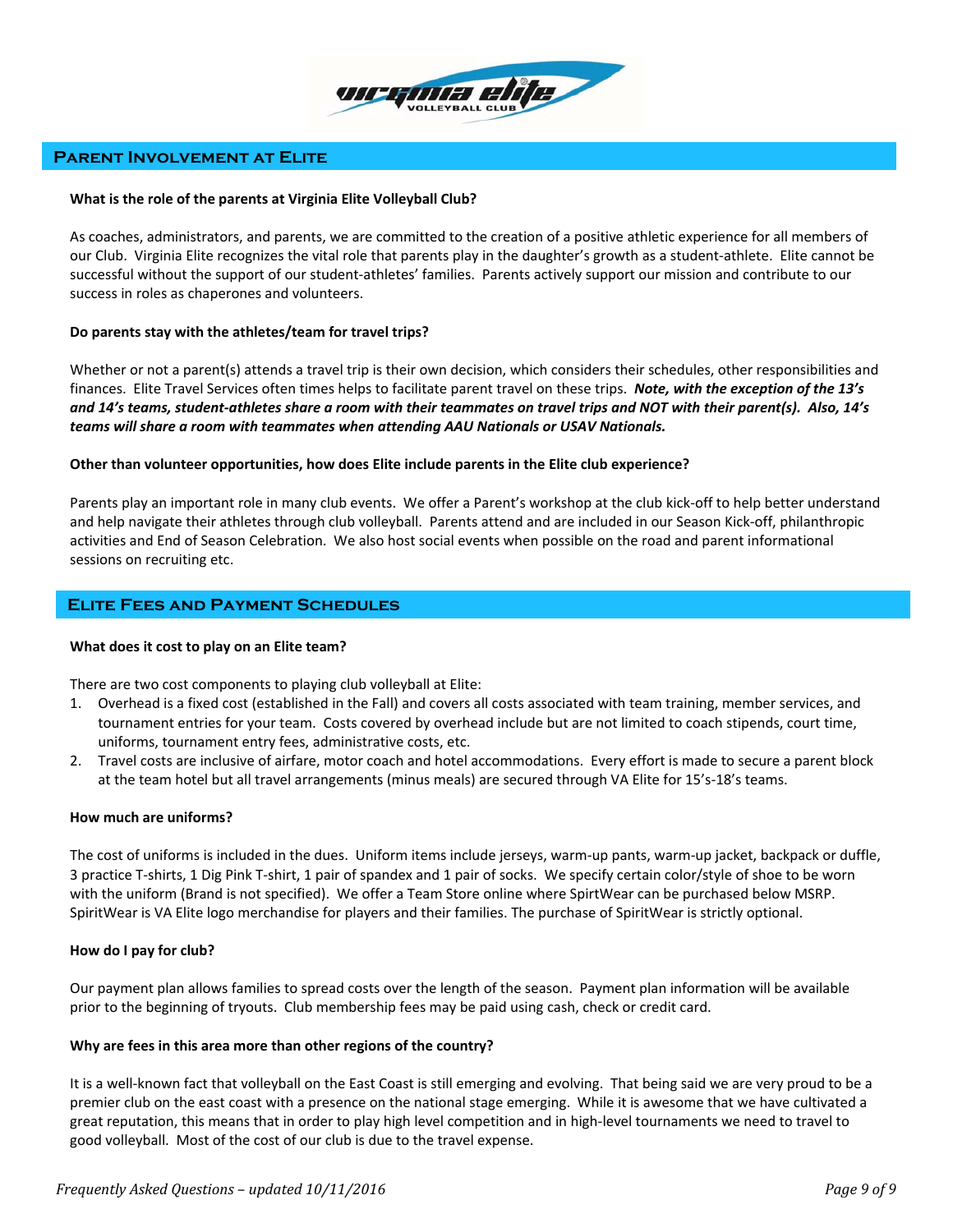

# **Parent Involvement at Elite**

#### **What is the role of the parents at Virginia Elite Volleyball Club?**

As coaches, administrators, and parents, we are committed to the creation of a positive athletic experience for all members of our Club. Virginia Elite recognizes the vital role that parents play in the daughter's growth as a student‐athlete. Elite cannot be successful without the support of our student‐athletes' families. Parents actively support our mission and contribute to our success in roles as chaperones and volunteers.

## **Do parents stay with the athletes/team for travel trips?**

Whether or not a parent(s) attends a travel trip is their own decision, which considers their schedules, other responsibilities and finances. Elite Travel Services often times helps to facilitate parent travel on these trips. *Note, with the exception of the 13's* and 14's teams, student-athletes share a room with their teammates on travel trips and NOT with their parent(s). Also, 14's *teams will share a room with teammates when attending AAU Nationals or USAV Nationals.*

#### **Other than volunteer opportunities, how does Elite include parents in the Elite club experience?**

Parents play an important role in many club events. We offer a Parent's workshop at the club kick‐off to help better understand and help navigate their athletes through club volleyball. Parents attend and are included in our Season Kick‐off, philanthropic activities and End of Season Celebration. We also host social events when possible on the road and parent informational sessions on recruiting etc.

# **Elite Fees and Payment Schedules**

## **What does it cost to play on an Elite team?**

There are two cost components to playing club volleyball at Elite:

- 1. Overhead is a fixed cost (established in the Fall) and covers all costs associated with team training, member services, and tournament entries for your team. Costs covered by overhead include but are not limited to coach stipends, court time, uniforms, tournament entry fees, administrative costs, etc.
- 2. Travel costs are inclusive of airfare, motor coach and hotel accommodations. Every effort is made to secure a parent block at the team hotel but all travel arrangements (minus meals) are secured through VA Elite for 15's‐18's teams.

#### **How much are uniforms?**

The cost of uniforms is included in the dues. Uniform items include jerseys, warm‐up pants, warm‐up jacket, backpack or duffle, 3 practice T‐shirts, 1 Dig Pink T‐shirt, 1 pair of spandex and 1 pair of socks. We specify certain color/style of shoe to be worn with the uniform (Brand is not specified). We offer a Team Store online where SpirtWear can be purchased below MSRP. SpiritWear is VA Elite logo merchandise for players and their families. The purchase of SpiritWear is strictly optional.

## **How do I pay for club?**

Our payment plan allows families to spread costs over the length of the season. Payment plan information will be available prior to the beginning of tryouts. Club membership fees may be paid using cash, check or credit card.

#### **Why are fees in this area more than other regions of the country?**

It is a well-known fact that volleyball on the East Coast is still emerging and evolving. That being said we are very proud to be a premier club on the east coast with a presence on the national stage emerging. While it is awesome that we have cultivated a great reputation, this means that in order to play high level competition and in high‐level tournaments we need to travel to good volleyball. Most of the cost of our club is due to the travel expense.